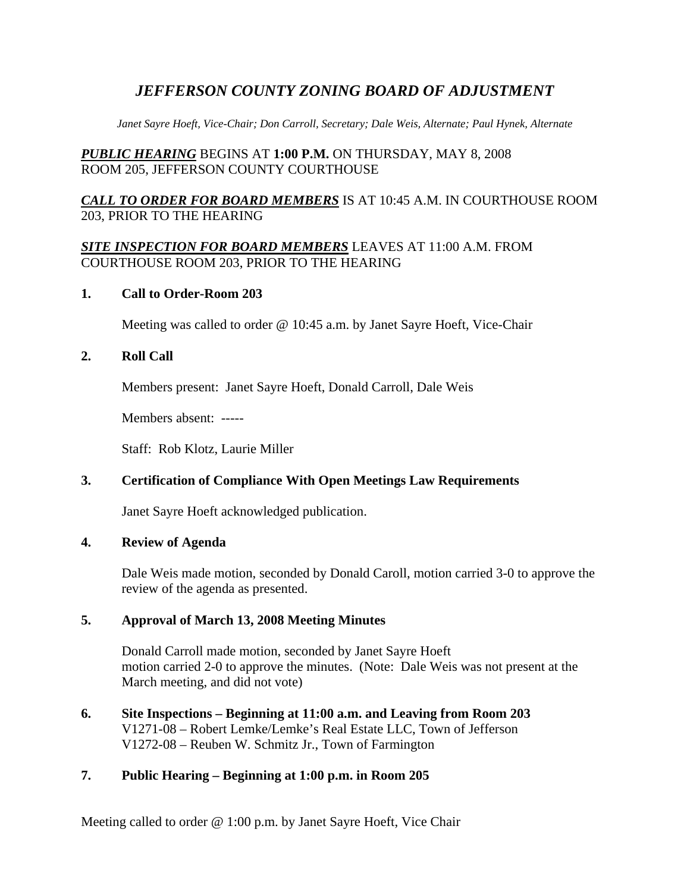# *JEFFERSON COUNTY ZONING BOARD OF ADJUSTMENT*

*Janet Sayre Hoeft, Vice-Chair; Don Carroll, Secretary; Dale Weis, Alternate; Paul Hynek, Alternate* 

## *PUBLIC HEARING* BEGINS AT **1:00 P.M.** ON THURSDAY, MAY 8, 2008 ROOM 205, JEFFERSON COUNTY COURTHOUSE

## *CALL TO ORDER FOR BOARD MEMBERS* IS AT 10:45 A.M. IN COURTHOUSE ROOM 203, PRIOR TO THE HEARING

### *SITE INSPECTION FOR BOARD MEMBERS* LEAVES AT 11:00 A.M. FROM COURTHOUSE ROOM 203, PRIOR TO THE HEARING

#### **1. Call to Order-Room 203**

Meeting was called to order @ 10:45 a.m. by Janet Sayre Hoeft, Vice-Chair

### **2. Roll Call**

Members present: Janet Sayre Hoeft, Donald Carroll, Dale Weis

Members absent: -----

Staff: Rob Klotz, Laurie Miller

## **3. Certification of Compliance With Open Meetings Law Requirements**

Janet Sayre Hoeft acknowledged publication.

#### **4. Review of Agenda**

Dale Weis made motion, seconded by Donald Caroll, motion carried 3-0 to approve the review of the agenda as presented.

## **5. Approval of March 13, 2008 Meeting Minutes**

Donald Carroll made motion, seconded by Janet Sayre Hoeft motion carried 2-0 to approve the minutes. (Note: Dale Weis was not present at the March meeting, and did not vote)

**6. Site Inspections – Beginning at 11:00 a.m. and Leaving from Room 203**  V1271-08 – Robert Lemke/Lemke's Real Estate LLC, Town of Jefferson V1272-08 – Reuben W. Schmitz Jr., Town of Farmington

## **7. Public Hearing – Beginning at 1:00 p.m. in Room 205**

Meeting called to order @ 1:00 p.m. by Janet Sayre Hoeft, Vice Chair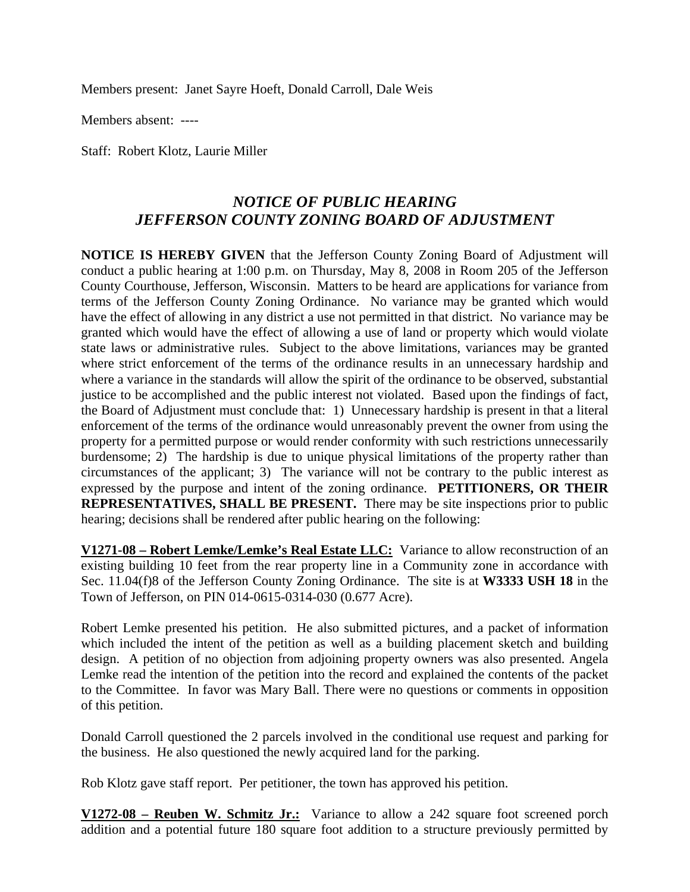Members present: Janet Sayre Hoeft, Donald Carroll, Dale Weis

Members absent: ----

Staff: Robert Klotz, Laurie Miller

# *NOTICE OF PUBLIC HEARING JEFFERSON COUNTY ZONING BOARD OF ADJUSTMENT*

**NOTICE IS HEREBY GIVEN** that the Jefferson County Zoning Board of Adjustment will conduct a public hearing at 1:00 p.m. on Thursday, May 8, 2008 in Room 205 of the Jefferson County Courthouse, Jefferson, Wisconsin. Matters to be heard are applications for variance from terms of the Jefferson County Zoning Ordinance. No variance may be granted which would have the effect of allowing in any district a use not permitted in that district. No variance may be granted which would have the effect of allowing a use of land or property which would violate state laws or administrative rules. Subject to the above limitations, variances may be granted where strict enforcement of the terms of the ordinance results in an unnecessary hardship and where a variance in the standards will allow the spirit of the ordinance to be observed, substantial justice to be accomplished and the public interest not violated. Based upon the findings of fact, the Board of Adjustment must conclude that: 1) Unnecessary hardship is present in that a literal enforcement of the terms of the ordinance would unreasonably prevent the owner from using the property for a permitted purpose or would render conformity with such restrictions unnecessarily burdensome; 2) The hardship is due to unique physical limitations of the property rather than circumstances of the applicant; 3) The variance will not be contrary to the public interest as expressed by the purpose and intent of the zoning ordinance. **PETITIONERS, OR THEIR REPRESENTATIVES, SHALL BE PRESENT.** There may be site inspections prior to public hearing; decisions shall be rendered after public hearing on the following:

**V1271-08 – Robert Lemke/Lemke's Real Estate LLC:** Variance to allow reconstruction of an existing building 10 feet from the rear property line in a Community zone in accordance with Sec. 11.04(f)8 of the Jefferson County Zoning Ordinance. The site is at **W3333 USH 18** in the Town of Jefferson, on PIN 014-0615-0314-030 (0.677 Acre).

Robert Lemke presented his petition. He also submitted pictures, and a packet of information which included the intent of the petition as well as a building placement sketch and building design. A petition of no objection from adjoining property owners was also presented. Angela Lemke read the intention of the petition into the record and explained the contents of the packet to the Committee. In favor was Mary Ball. There were no questions or comments in opposition of this petition.

Donald Carroll questioned the 2 parcels involved in the conditional use request and parking for the business. He also questioned the newly acquired land for the parking.

Rob Klotz gave staff report. Per petitioner, the town has approved his petition.

**V1272-08 – Reuben W. Schmitz Jr.:** Variance to allow a 242 square foot screened porch addition and a potential future 180 square foot addition to a structure previously permitted by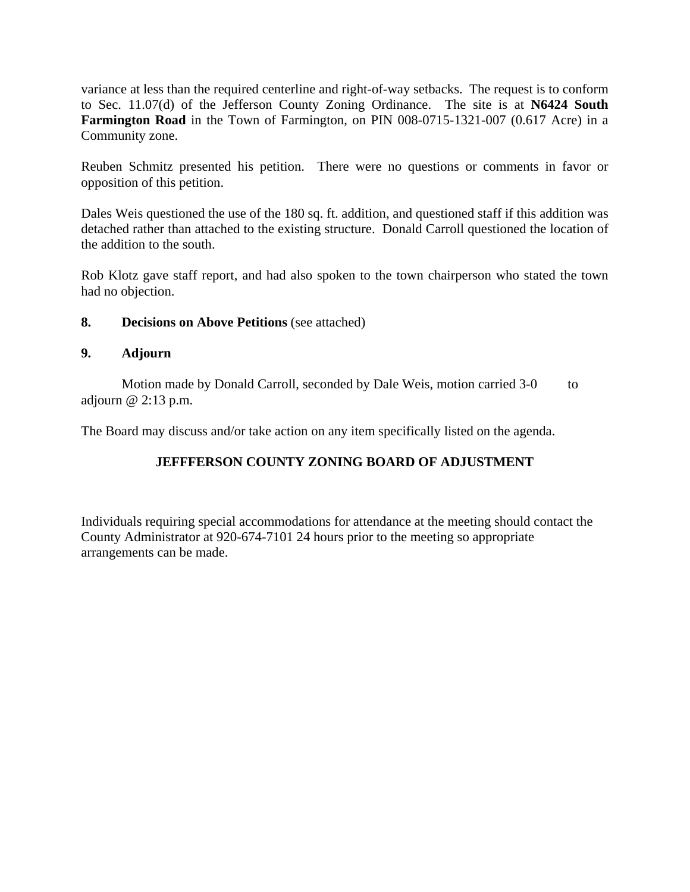variance at less than the required centerline and right-of-way setbacks. The request is to conform to Sec. 11.07(d) of the Jefferson County Zoning Ordinance. The site is at **N6424 South Farmington Road** in the Town of Farmington, on PIN 008-0715-1321-007 (0.617 Acre) in a Community zone.

Reuben Schmitz presented his petition. There were no questions or comments in favor or opposition of this petition.

Dales Weis questioned the use of the 180 sq. ft. addition, and questioned staff if this addition was detached rather than attached to the existing structure. Donald Carroll questioned the location of the addition to the south.

Rob Klotz gave staff report, and had also spoken to the town chairperson who stated the town had no objection.

### **8. Decisions on Above Petitions** (see attached)

#### **9. Adjourn**

Motion made by Donald Carroll, seconded by Dale Weis, motion carried 3-0 to adjourn @ 2:13 p.m.

The Board may discuss and/or take action on any item specifically listed on the agenda.

## **JEFFFERSON COUNTY ZONING BOARD OF ADJUSTMENT**

Individuals requiring special accommodations for attendance at the meeting should contact the County Administrator at 920-674-7101 24 hours prior to the meeting so appropriate arrangements can be made.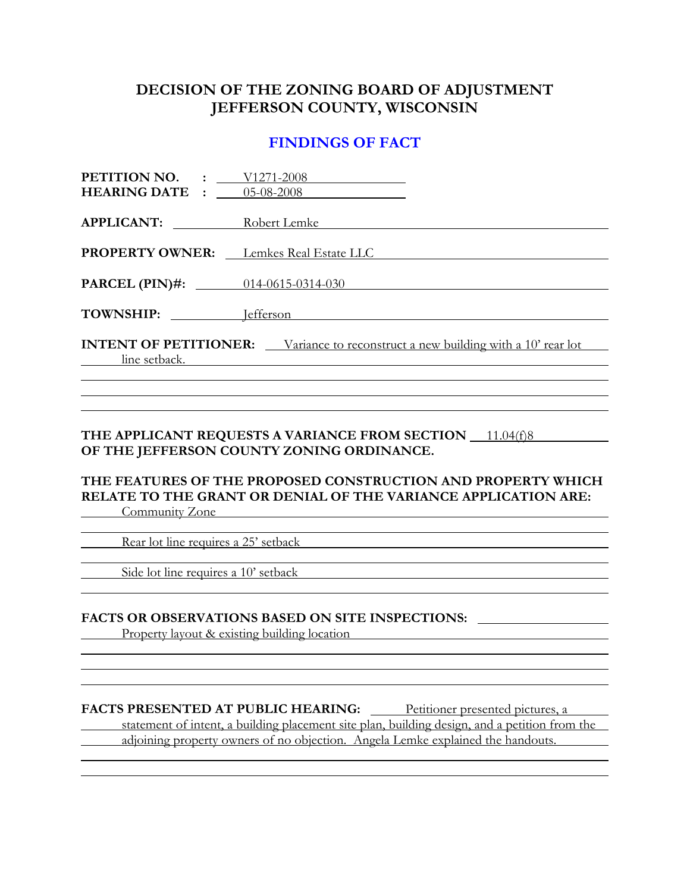## **DECISION OF THE ZONING BOARD OF ADJUSTMENT JEFFERSON COUNTY, WISCONSIN**

## **FINDINGS OF FACT**

| <b>PETITION NO.</b> : $\underline{\qquad \qquad }$ $\frac{V1271-2008}{V1271-2008}$<br><b>HEARING DATE :</b> 05-08-2008 |
|------------------------------------------------------------------------------------------------------------------------|
| <b>APPLICANT:</b> Robert Lemke                                                                                         |
| <b>PROPERTY OWNER:</b> Lemkes Real Estate LLC                                                                          |
| <b>PARCEL (PIN)#:</b> 014-0615-0314-030                                                                                |
| TOWNSHIP: <u>Jefferson</u>                                                                                             |
| <b>INTENT OF PETITIONER:</b> Variance to reconstruct a new building with a 10' rear lot<br><u>line</u> setback.        |
|                                                                                                                        |

### **THE APPLICANT REQUESTS A VARIANCE FROM SECTION** 11.04(f)8 **OF THE JEFFERSON COUNTY ZONING ORDINANCE.**

#### **THE FEATURES OF THE PROPOSED CONSTRUCTION AND PROPERTY WHICH RELATE TO THE GRANT OR DENIAL OF THE VARIANCE APPLICATION ARE: Community Zone**

l

l

l

Rear lot line requires a 25' setback

Side lot line requires a 10' setback

# **FACTS OR OBSERVATIONS BASED ON SITE INSPECTIONS:**

Property layout & existing building location

#### **FACTS PRESENTED AT PUBLIC HEARING:** Petitioner presented pictures, a

 statement of intent, a building placement site plan, building design, and a petition from the adjoining property owners of no objection. Angela Lemke explained the handouts.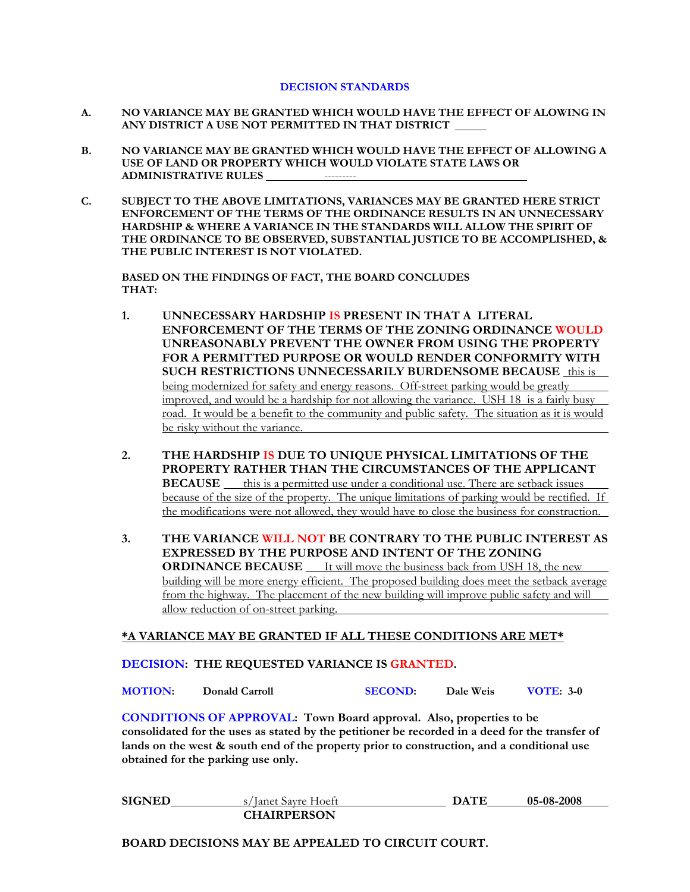#### **DECISION STANDARDS**

- **A. NO VARIANCE MAY BE GRANTED WHICH WOULD HAVE THE EFFECT OF ALOWING IN ANY DISTRICT A USE NOT PERMITTED IN THAT DISTRICT**
- **B. NO VARIANCE MAY BE GRANTED WHICH WOULD HAVE THE EFFECT OF ALLOWING A USE OF LAND OR PROPERTY WHICH WOULD VIOLATE STATE LAWS OR ADMINISTRATIVE RULES** ---------
- **C. SUBJECT TO THE ABOVE LIMITATIONS, VARIANCES MAY BE GRANTED HERE STRICT ENFORCEMENT OF THE TERMS OF THE ORDINANCE RESULTS IN AN UNNECESSARY HARDSHIP & WHERE A VARIANCE IN THE STANDARDS WILL ALLOW THE SPIRIT OF THE ORDINANCE TO BE OBSERVED, SUBSTANTIAL JUSTICE TO BE ACCOMPLISHED, & THE PUBLIC INTEREST IS NOT VIOLATED.**

 **BASED ON THE FINDINGS OF FACT, THE BOARD CONCLUDES THAT:** 

- **1. UNNECESSARY HARDSHIP IS PRESENT IN THAT A LITERAL ENFORCEMENT OF THE TERMS OF THE ZONING ORDINANCE WOULD UNREASONABLY PREVENT THE OWNER FROM USING THE PROPERTY FOR A PERMITTED PURPOSE OR WOULD RENDER CONFORMITY WITH SUCH RESTRICTIONS UNNECESSARILY BURDENSOME BECAUSE** this is being modernized for safety and energy reasons. Off-street parking would be greatly improved, and would be a hardship for not allowing the variance. USH 18 is a fairly busy road. It would be a benefit to the community and public safety. The situation as it is would be risky without the variance.
- **2. THE HARDSHIP IS DUE TO UNIQUE PHYSICAL LIMITATIONS OF THE PROPERTY RATHER THAN THE CIRCUMSTANCES OF THE APPLICANT BECAUSE** this is a permitted use under a conditional use. There are setback issues because of the size of the property. The unique limitations of parking would be rectified. If the modifications were not allowed, they would have to close the business for construction.
- **3. THE VARIANCE WILL NOT BE CONTRARY TO THE PUBLIC INTEREST AS EXPRESSED BY THE PURPOSE AND INTENT OF THE ZONING ORDINANCE BECAUSE** It will move the business back from USH 18, the new building will be more energy efficient. The proposed building does meet the setback average from the highway. The placement of the new building will improve public safety and will allow reduction of on-street parking.

#### **\*A VARIANCE MAY BE GRANTED IF ALL THESE CONDITIONS ARE MET\***

#### **DECISION: THE REQUESTED VARIANCE IS GRANTED.**

| <b>MOTION:</b> | Donald Carroll | <b>SECOND:</b> | Dale Weis | <b>VOTE: 3-0</b> |
|----------------|----------------|----------------|-----------|------------------|
|                |                |                |           |                  |

**CONDITIONS OF APPROVAL: Town Board approval. Also, properties to be consolidated for the uses as stated by the petitioner be recorded in a deed for the transfer of lands on the west & south end of the property prior to construction, and a conditional use obtained for the parking use only.** 

| <b>SIGNED</b> | s/Janet Savre Hoeft | DATE | 05-08-2008 |
|---------------|---------------------|------|------------|
|               | <b>CHAIRPERSON</b>  |      |            |

**BOARD DECISIONS MAY BE APPEALED TO CIRCUIT COURT.**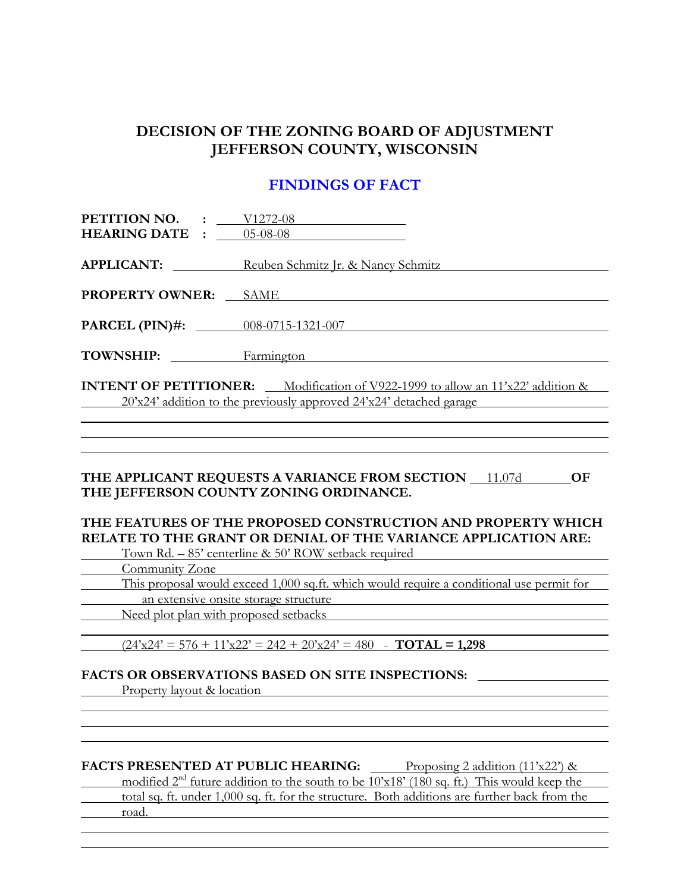# **DECISION OF THE ZONING BOARD OF ADJUSTMENT JEFFERSON COUNTY, WISCONSIN**

# **FINDINGS OF FACT**

| <b>PETITION NO.</b> : $V1272-08$<br><b>HEARING DATE :</b> | $05-08-08$                                                                                                                                                                                                                                                                                       |
|-----------------------------------------------------------|--------------------------------------------------------------------------------------------------------------------------------------------------------------------------------------------------------------------------------------------------------------------------------------------------|
| <b>APPLICANT:</b>                                         | Reuben Schmitz Jr. & Nancy Schmitz                                                                                                                                                                                                                                                               |
| <b>PROPERTY OWNER:</b>                                    | <b>SAME</b>                                                                                                                                                                                                                                                                                      |
|                                                           | <b>PARCEL (PIN)#:</b> $008-0715-1321-007$                                                                                                                                                                                                                                                        |
| TOWNSHIP:                                                 | Farmington                                                                                                                                                                                                                                                                                       |
|                                                           | <b>INTENT OF PETITIONER:</b> Modification of V922-1999 to allow an $11'x22'$ addition &<br>20'x24' addition to the previously approved 24'x24' detached garage                                                                                                                                   |
|                                                           | THE APPLICANT REQUESTS A VARIANCE FROM SECTION 11.07d<br>OF<br>THE JEFFERSON COUNTY ZONING ORDINANCE.<br>THE FEATURES OF THE PROPOSED CONSTRUCTION AND PROPERTY WHICH<br>RELATE TO THE GRANT OR DENIAL OF THE VARIANCE APPLICATION ARE:<br>Town Rd. $-85'$ centerline & 50' ROW setback required |
| Community Zone                                            |                                                                                                                                                                                                                                                                                                  |
|                                                           | This proposal would exceed 1,000 sq.ft. which would require a conditional use permit for                                                                                                                                                                                                         |
|                                                           | an extensive onsite storage structure                                                                                                                                                                                                                                                            |
|                                                           | Need plot plan with proposed setbacks                                                                                                                                                                                                                                                            |
|                                                           |                                                                                                                                                                                                                                                                                                  |

 $(24 \times 24) = 576 + 11 \times 22 = 242 + 20 \times 24 = 480$  - **TOTAL** = 1,298

#### **FACTS OR OBSERVATIONS BASED ON SITE INSPECTIONS:**

Property layout & location

 $\overline{a}$ 

 $\overline{a}$ 

## **FACTS PRESENTED AT PUBLIC HEARING:** Proposing 2 addition (11'x22') &

modified  $2<sup>nd</sup>$  future addition to the south to be  $10x18'$  (180 sq. ft.) This would keep the total sq. ft. under 1,000 sq. ft. for the structure. Both additions are further back from the road.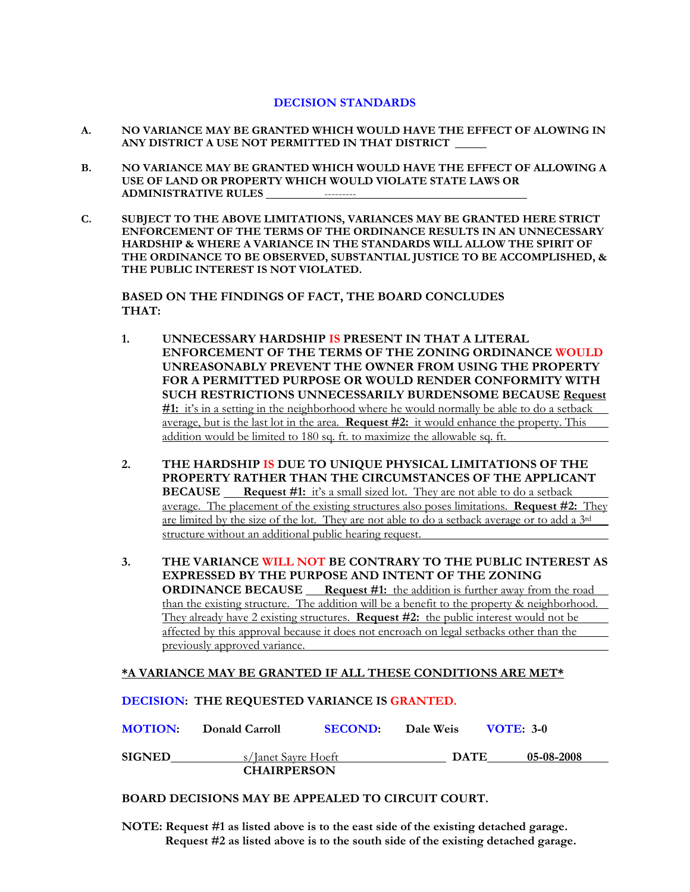#### **DECISION STANDARDS**

- **A. NO VARIANCE MAY BE GRANTED WHICH WOULD HAVE THE EFFECT OF ALOWING IN ANY DISTRICT A USE NOT PERMITTED IN THAT DISTRICT**
- **B. NO VARIANCE MAY BE GRANTED WHICH WOULD HAVE THE EFFECT OF ALLOWING A USE OF LAND OR PROPERTY WHICH WOULD VIOLATE STATE LAWS OR ADMINISTRATIVE RULES** ---------
- **C. SUBJECT TO THE ABOVE LIMITATIONS, VARIANCES MAY BE GRANTED HERE STRICT ENFORCEMENT OF THE TERMS OF THE ORDINANCE RESULTS IN AN UNNECESSARY HARDSHIP & WHERE A VARIANCE IN THE STANDARDS WILL ALLOW THE SPIRIT OF THE ORDINANCE TO BE OBSERVED, SUBSTANTIAL JUSTICE TO BE ACCOMPLISHED, & THE PUBLIC INTEREST IS NOT VIOLATED.**

 **BASED ON THE FINDINGS OF FACT, THE BOARD CONCLUDES THAT:** 

- **1. UNNECESSARY HARDSHIP IS PRESENT IN THAT A LITERAL ENFORCEMENT OF THE TERMS OF THE ZONING ORDINANCE WOULD UNREASONABLY PREVENT THE OWNER FROM USING THE PROPERTY FOR A PERMITTED PURPOSE OR WOULD RENDER CONFORMITY WITH SUCH RESTRICTIONS UNNECESSARILY BURDENSOME BECAUSE Request #1:** it's in a setting in the neighborhood where he would normally be able to do a setback average, but is the last lot in the area. **Request #2:** it would enhance the property. This addition would be limited to 180 sq. ft. to maximize the allowable sq. ft.
- **2. THE HARDSHIP IS DUE TO UNIQUE PHYSICAL LIMITATIONS OF THE PROPERTY RATHER THAN THE CIRCUMSTANCES OF THE APPLICANT BECAUSE** Request #1: it's a small sized lot. They are not able to do a setback average. The placement of the existing structures also poses limitations. **Request #2:** They are limited by the size of the lot. They are not able to do a setback average or to add a 3rd structure without an additional public hearing request.
- **3. THE VARIANCE WILL NOT BE CONTRARY TO THE PUBLIC INTEREST AS EXPRESSED BY THE PURPOSE AND INTENT OF THE ZONING ORDINANCE BECAUSE** Request #1: the addition is further away from the road than the existing structure. The addition will be a benefit to the property & neighborhood. They already have 2 existing structures. **Request #2:** the public interest would not be affected by this approval because it does not encroach on legal setbacks other than the previously approved variance.

#### **\*A VARIANCE MAY BE GRANTED IF ALL THESE CONDITIONS ARE MET\***

| <b>MOTION:</b>     | Donald Carroll      | <b>SECOND:</b> | Dale Weis   | <b>VOTE: 3-0</b> |
|--------------------|---------------------|----------------|-------------|------------------|
| <b>SIGNED</b>      | s/Janet Sayre Hoeft |                | <b>DATE</b> | 05-08-2008       |
| <b>CHAIRPERSON</b> |                     |                |             |                  |

#### **BOARD DECISIONS MAY BE APPEALED TO CIRCUIT COURT.**

**DECISION: THE REQUESTED VARIANCE IS GRANTED.**

**NOTE: Request #1 as listed above is to the east side of the existing detached garage. Request #2 as listed above is to the south side of the existing detached garage.**